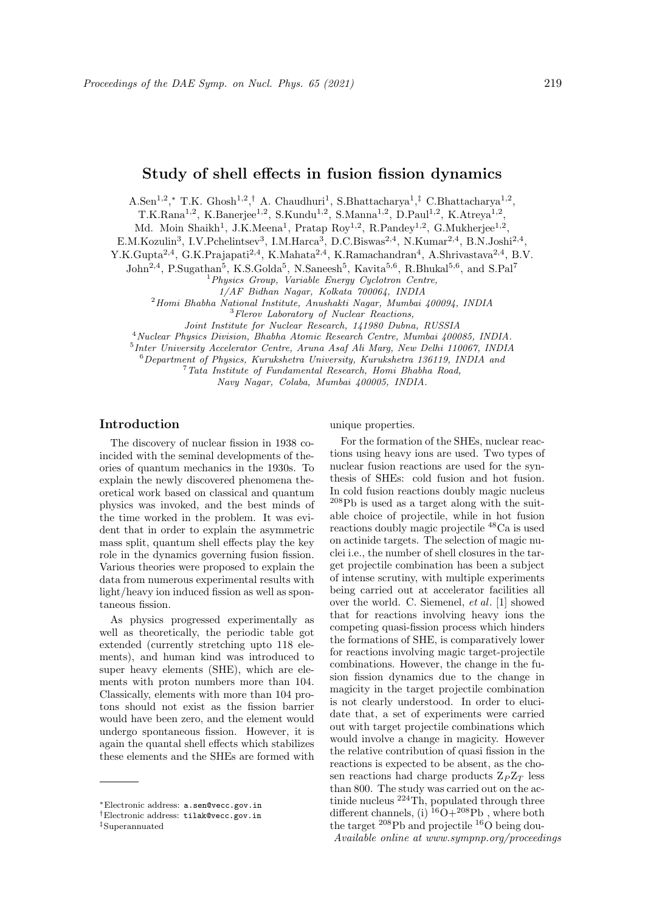A.Sen<sup>1,2</sup>,\* T.K. Ghosh<sup>1,2</sup>,<sup>†</sup> A. Chaudhuri<sup>1</sup>, S.Bhattacharya<sup>1</sup>,<sup>‡</sup> C.Bhattacharya<sup>1,2</sup>,

 $T.K.Rana<sup>1,2</sup>, K.Banerjee<sup>1,2</sup>, S.Kundu<sup>1,2</sup>, S.Manna<sup>1,2</sup>, D.Paul<sup>1,2</sup>, K.Atreya<sup>1,2</sup>,$ 

Md. Moin Shaikh<sup>1</sup>, J.K.Meena<sup>1</sup>, Pratap Roy<sup>1,2</sup>, R.Pandey<sup>1,2</sup>, G.Mukherjee<sup>1,2</sup>,

E.M.Kozulin<sup>3</sup>, I.V.Pchelintsev<sup>3</sup>, I.M.Harca<sup>3</sup>, D.C.Biswas<sup>2,4</sup>, N.Kumar<sup>2,4</sup>, B.N.Joshi<sup>2,4</sup>,

Y.K.Gupta<sup>2,4</sup>, G.K.Prajapati<sup>2,4</sup>, K.Mahata<sup>2,4</sup>, K.Ramachandran<sup>4</sup>, A.Shrivastava<sup>2,4</sup>, B.V.

John<sup>2,4</sup>, P.Sugathan<sup>5</sup>, K.S.Golda<sup>5</sup>, N.Saneesh<sup>5</sup>, Kavita<sup>5,6</sup>, R.Bhukal<sup>5,6</sup>, and S.Pal<sup>7</sup>

 ${}^{1}$ Physics Group, Variable Energy Cyclotron Centre,

1/AF Bidhan Nagar, Kolkata 700064, INDIA

 $^{2}$ Homi Bhabha National Institute, Anushakti Nagar, Mumbai 400094, INDIA

<sup>3</sup>Flerov Laboratory of Nuclear Reactions,

Joint Institute for Nuclear Research, 141980 Dubna, RUSSIA

<sup>4</sup>Nuclear Physics Division, Bhabha Atomic Research Centre, Mumbai 400085, INDIA.

5 Inter University Accelerator Centre, Aruna Asaf Ali Marg, New Delhi 110067, INDIA

<sup>6</sup>Department of Physics, Kurukshetra University, Kurukshetra 136119, INDIA and

<sup>7</sup>Tata Institute of Fundamental Research, Homi Bhabha Road,

Navy Nagar, Colaba, Mumbai 400005, INDIA.

# Introduction

The discovery of nuclear fission in 1938 coincided with the seminal developments of theories of quantum mechanics in the 1930s. To explain the newly discovered phenomena theoretical work based on classical and quantum physics was invoked, and the best minds of the time worked in the problem. It was evident that in order to explain the asymmetric mass split, quantum shell effects play the key role in the dynamics governing fusion fission. Various theories were proposed to explain the data from numerous experimental results with light/heavy ion induced fission as well as spontaneous fission.

As physics progressed experimentally as well as theoretically, the periodic table got extended (currently stretching upto 118 elements), and human kind was introduced to super heavy elements (SHE), which are elements with proton numbers more than 104. Classically, elements with more than 104 protons should not exist as the fission barrier would have been zero, and the element would undergo spontaneous fission. However, it is again the quantal shell effects which stabilizes these elements and the SHEs are formed with

#### unique properties.

For the formation of the SHEs, nuclear reactions using heavy ions are used. Two types of nuclear fusion reactions are used for the synthesis of SHEs: cold fusion and hot fusion. In cold fusion reactions doubly magic nucleus  $^{208}{\rm Pb}$  is used as a target along with the suitable choice of projectile, while in hot fusion reactions doubly magic projectile <sup>48</sup>Ca is used on actinide targets. The selection of magic nuclei i.e., the number of shell closures in the target projectile combination has been a subject of intense scrutiny, with multiple experiments being carried out at accelerator facilities all over the world. C. Siemenel, et al. [1] showed that for reactions involving heavy ions the competing quasi-fission process which hinders the formations of SHE, is comparatively lower for reactions involving magic target-projectile combinations. However, the change in the fusion fission dynamics due to the change in magicity in the target projectile combination is not clearly understood. In order to elucidate that, a set of experiments were carried out with target projectile combinations which would involve a change in magicity. However the relative contribution of quasi fission in the reactions is expected to be absent, as the chosen reactions had charge products  $Z_P Z_T$  less than 800. The study was carried out on the actinide nucleus  $2^{24}$ Th, populated through three different channels, (i)  ${}^{16}O+{}^{208}Pb$ , where both the target <sup>208</sup>Pb and projectile <sup>16</sup>O being dou-Available online at www.sympnp.org/proceedings

<sup>∗</sup>Electronic address: a.sen@vecc.gov.in

<sup>†</sup>Electronic address: tilak@vecc.gov.in

<sup>‡</sup>Superannuated